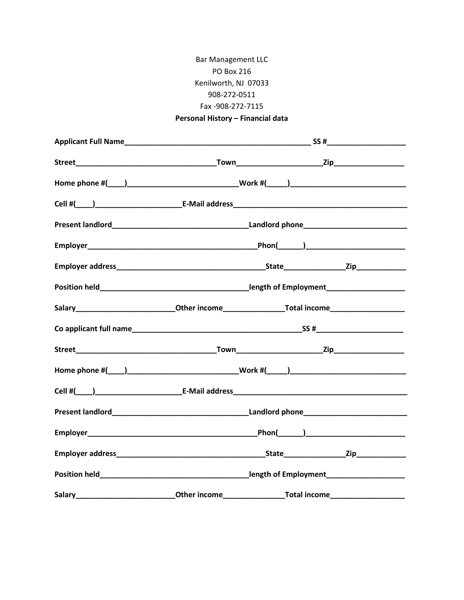## **Bar Management LLC** PO Box 216 Kenilworth, NJ 07033 908-272-0511 Fax -908-272-7115

## Personal History - Financial data

| Salary________________________________Other income_______________________________                    |  |  |  |
|------------------------------------------------------------------------------------------------------|--|--|--|
|                                                                                                      |  |  |  |
|                                                                                                      |  |  |  |
|                                                                                                      |  |  |  |
|                                                                                                      |  |  |  |
|                                                                                                      |  |  |  |
|                                                                                                      |  |  |  |
|                                                                                                      |  |  |  |
|                                                                                                      |  |  |  |
| Salary________________________________Other income____________________Total income__________________ |  |  |  |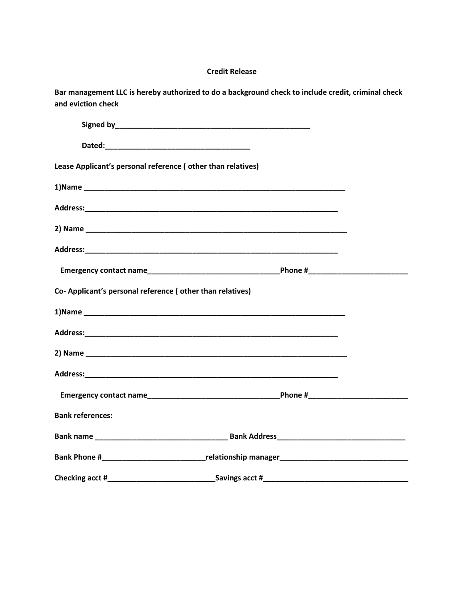## **Credit Release**

**Bar management LLC is hereby authorized to do a background check to include credit, criminal check and eviction check**

| Lease Applicant's personal reference (other than relatives) |                                                                                                                  |  |
|-------------------------------------------------------------|------------------------------------------------------------------------------------------------------------------|--|
|                                                             |                                                                                                                  |  |
|                                                             |                                                                                                                  |  |
|                                                             |                                                                                                                  |  |
|                                                             |                                                                                                                  |  |
|                                                             |                                                                                                                  |  |
| Co- Applicant's personal reference (other than relatives)   |                                                                                                                  |  |
|                                                             |                                                                                                                  |  |
|                                                             |                                                                                                                  |  |
|                                                             |                                                                                                                  |  |
|                                                             |                                                                                                                  |  |
|                                                             |                                                                                                                  |  |
| <b>Bank references:</b>                                     |                                                                                                                  |  |
|                                                             |                                                                                                                  |  |
|                                                             | Bank Phone # The Contract of The Phone Phone Phone Phone Phone Phone Phone Phone Phone Phone Phone Phone Phone P |  |
|                                                             |                                                                                                                  |  |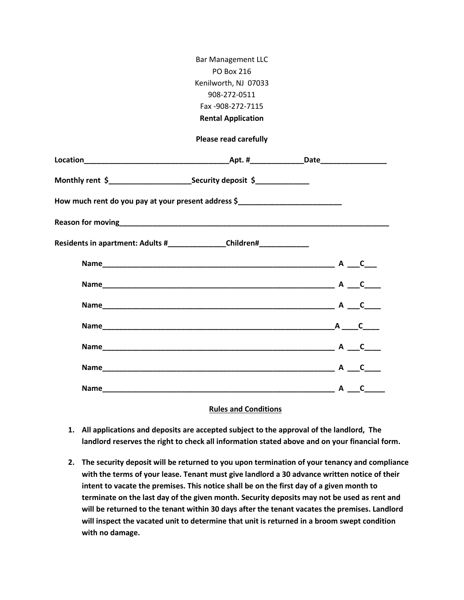|                                                                                   | <b>Bar Management LLC</b>    |  |
|-----------------------------------------------------------------------------------|------------------------------|--|
|                                                                                   | <b>PO Box 216</b>            |  |
|                                                                                   | Kenilworth, NJ 07033         |  |
|                                                                                   | 908-272-0511                 |  |
|                                                                                   | Fax -908-272-7115            |  |
|                                                                                   | <b>Rental Application</b>    |  |
|                                                                                   | <b>Please read carefully</b> |  |
|                                                                                   |                              |  |
|                                                                                   |                              |  |
| How much rent do you pay at your present address \$______________________________ |                              |  |
| Reason for moving <b>Example 2018 Reason</b> for moving                           |                              |  |
| Residents in apartment: Adults #_________________Children#______________________  |                              |  |
|                                                                                   |                              |  |
|                                                                                   |                              |  |
|                                                                                   |                              |  |
|                                                                                   |                              |  |
|                                                                                   |                              |  |
|                                                                                   |                              |  |
|                                                                                   |                              |  |
|                                                                                   | <b>Rules and Conditions</b>  |  |

- **1. All applications and deposits are accepted subject to the approval of the landlord, The landlord reserves the right to check all information stated above and on your financial form.**
- **2. The security deposit will be returned to you upon termination of your tenancy and compliance with the terms of your lease. Tenant must give landlord a 30 advance written notice of their intent to vacate the premises. This notice shall be on the first day of a given month to terminate on the last day of the given month. Security deposits may not be used as rent and will be returned to the tenant within 30 days after the tenant vacates the premises. Landlord will inspect the vacated unit to determine that unit is returned in a broom swept condition with no damage.**